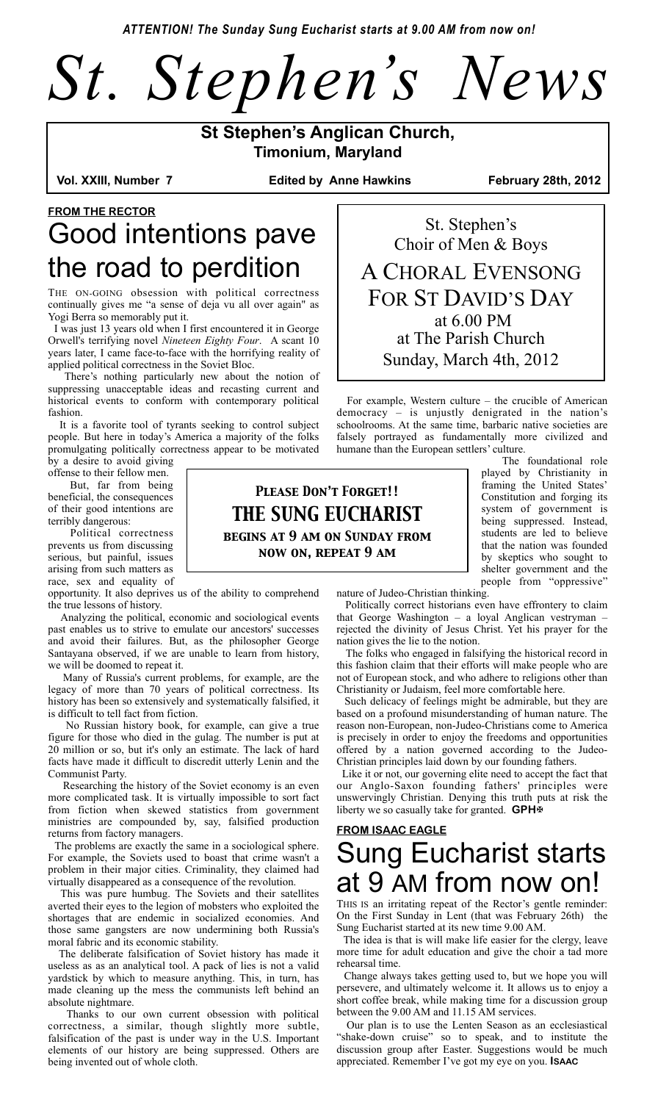*ATTENTION! The Sunday Sung Eucharist starts at 9.00 AM from now on!*



**St Stephen's Anglican Church, Timonium, Maryland** 

**Edited by Anne Hawkins February 28th, 2012** 

# **FROM THE RECTOR** Good intentions pave the road to perdition

THE ON-GOING obsession with political correctness continually gives me "a sense of deja vu all over again" as Yogi Berra so memorably put it.

 I was just 13 years old when I first encountered it in George Orwell's terrifying novel *Nineteen Eighty Four*. A scant 10 years later, I came face-to-face with the horrifying reality of applied political correctness in the Soviet Bloc.

 There's nothing particularly new about the notion of suppressing unacceptable ideas and recasting current and historical events to conform with contemporary political fashion.

 It is a favorite tool of tyrants seeking to control subject people. But here in today's America a majority of the folks promulgating politically correctness appear to be motivated by a desire to avoid giving

offense to their fellow men.

 But, far from being beneficial, the consequences of their good intentions are terribly dangerous:

 Political correctness prevents us from discussing serious, but painful, issues arising from such matters as race, sex and equality of

opportunity. It also deprives us of the ability to comprehend the true lessons of history.

 Analyzing the political, economic and sociological events past enables us to strive to emulate our ancestors' successes and avoid their failures. But, as the philosopher George Santayana observed, if we are unable to learn from history, we will be doomed to repeat it.

 Many of Russia's current problems, for example, are the legacy of more than 70 years of political correctness. Its history has been so extensively and systematically falsified, it is difficult to tell fact from fiction.

 No Russian history book, for example, can give a true figure for those who died in the gulag. The number is put at 20 million or so, but it's only an estimate. The lack of hard facts have made it difficult to discredit utterly Lenin and the Communist Party.

 Researching the history of the Soviet economy is an even more complicated task. It is virtually impossible to sort fact from fiction when skewed statistics from government ministries are compounded by, say, falsified production returns from factory managers.

 The problems are exactly the same in a sociological sphere. For example, the Soviets used to boast that crime wasn't a problem in their major cities. Criminality, they claimed had virtually disappeared as a consequence of the revolution.

 This was pure humbug. The Soviets and their satellites averted their eyes to the legion of mobsters who exploited the shortages that are endemic in socialized economies. And those same gangsters are now undermining both Russia's moral fabric and its economic stability.

 The deliberate falsification of Soviet history has made it useless as as an analytical tool. A pack of lies is not a valid yardstick by which to measure anything. This, in turn, has made cleaning up the mess the communists left behind an absolute nightmare.

 Thanks to our own current obsession with political correctness, a similar, though slightly more subtle, falsification of the past is under way in the U.S. Important elements of our history are being suppressed. Others are being invented out of whole cloth.

St. Stephen's Choir of Men & Boys A CHORAL EVENSONG FOR ST DAVID'S DAY at 6.00 PM at The Parish Church Sunday, March 4th, 2012

 For example, Western culture – the crucible of American democracy – is unjustly denigrated in the nation's schoolrooms. At the same time, barbaric native societies are falsely portrayed as fundamentally more civilized and humane than the European settlers' culture.

 The foundational role played by Christianity in framing the United States' Constitution and forging its system of government is being suppressed. Instead, students are led to believe that the nation was founded by skeptics who sought to shelter government and the people from "oppressive"

*Please Don't Forget!! THE SUNG EUCHARIST begins at 9 am on Sunday from now on, repeat 9 am*

nature of Judeo-Christian thinking.

 Politically correct historians even have effrontery to claim that George Washington – a loyal Anglican vestryman – rejected the divinity of Jesus Christ. Yet his prayer for the nation gives the lie to the notion.

 The folks who engaged in falsifying the historical record in this fashion claim that their efforts will make people who are not of European stock, and who adhere to religions other than Christianity or Judaism, feel more comfortable here.

 Such delicacy of feelings might be admirable, but they are based on a profound misunderstanding of human nature. The reason non-European, non-Judeo-Christians come to America is precisely in order to enjoy the freedoms and opportunities offered by a nation governed according to the Judeo-Christian principles laid down by our founding fathers.

 Like it or not, our governing elite need to accept the fact that our Anglo-Saxon founding fathers' principles were unswervingly Christian. Denying this truth puts at risk the liberty we so casually take for granted. **GPH**

## **FROM ISAAC EAGLE** Sung Eucharist starts at 9 AM from now on!

THIS IS an irritating repeat of the Rector's gentle reminder: On the First Sunday in Lent (that was February 26th) the Sung Eucharist started at its new time 9.00 AM.

 The idea is that is will make life easier for the clergy, leave more time for adult education and give the choir a tad more rehearsal time.

 Change always takes getting used to, but we hope you will persevere, and ultimately welcome it. It allows us to enjoy a short coffee break, while making time for a discussion group between the 9.00 AM and 11.15 AM services.

 Our plan is to use the Lenten Season as an ecclesiastical "shake-down cruise" so to speak, and to institute the discussion group after Easter. Suggestions would be much appreciated. Remember I've got my eye on you. **ISAAC**